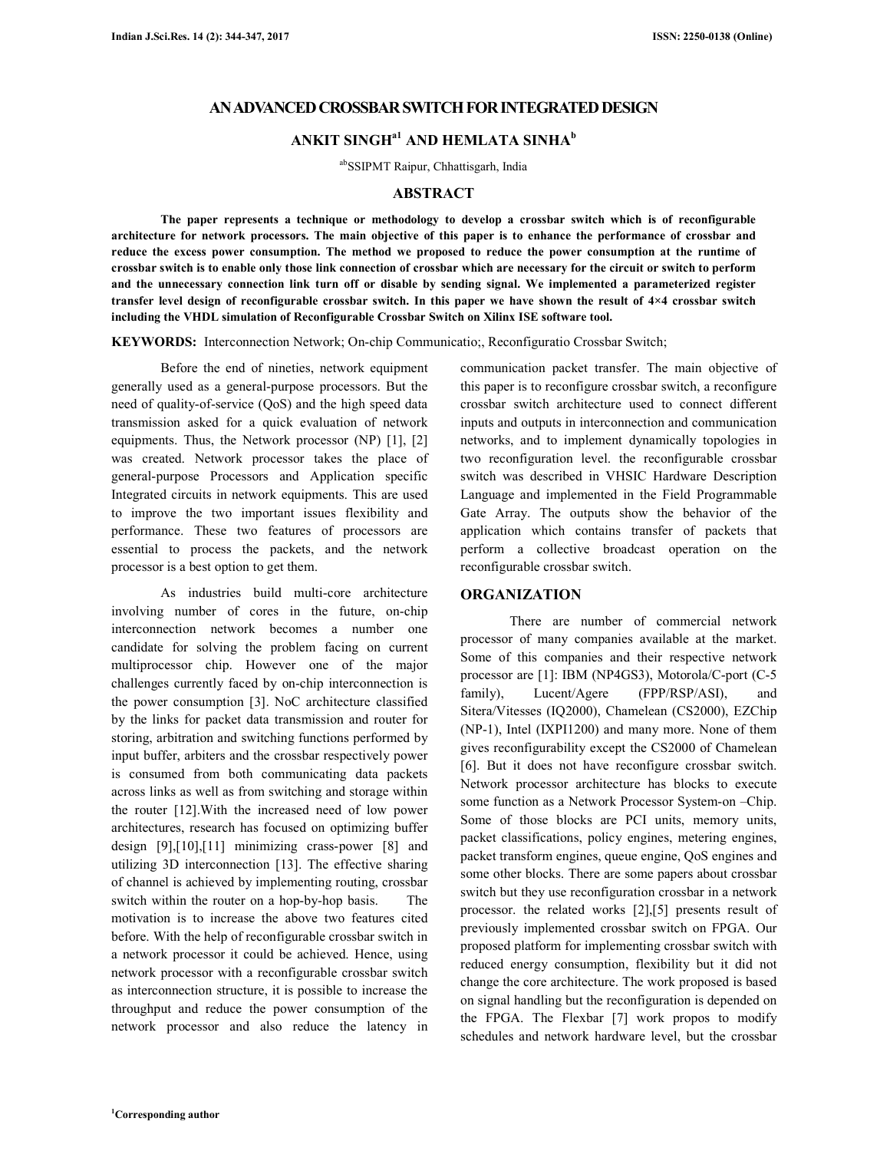## **AN ADVANCED CROSSBAR SWITCH FOR INTEGRATED DESIGN**

# **ANKIT SINGHa1 AND HEMLATA SINHA<sup>b</sup>**

abSSIPMT Raipur, Chhattisgarh, India

### **ABSTRACT**

 **The paper represents a technique or methodology to develop a crossbar switch which is of reconfigurable architecture for network processors. The main objective of this paper is to enhance the performance of crossbar and reduce the excess power consumption. The method we proposed to reduce the power consumption at the runtime of crossbar switch is to enable only those link connection of crossbar which are necessary for the circuit or switch to perform and the unnecessary connection link turn off or disable by sending signal. We implemented a parameterized register transfer level design of reconfigurable crossbar switch. In this paper we have shown the result of 4×4 crossbar switch including the VHDL simulation of Reconfigurable Crossbar Switch on Xilinx ISE software tool.** 

**KEYWORDS:** Interconnection Network; On-chip Communicatio;, Reconfiguratio Crossbar Switch;

 Before the end of nineties, network equipment generally used as a general-purpose processors. But the need of quality-of-service (QoS) and the high speed data transmission asked for a quick evaluation of network equipments. Thus, the Network processor (NP) [1], [2] was created. Network processor takes the place of general-purpose Processors and Application specific Integrated circuits in network equipments. This are used to improve the two important issues flexibility and performance. These two features of processors are essential to process the packets, and the network processor is a best option to get them.

 As industries build multi-core architecture involving number of cores in the future, on-chip interconnection network becomes a number one candidate for solving the problem facing on current multiprocessor chip. However one of the major challenges currently faced by on-chip interconnection is the power consumption [3]. NoC architecture classified by the links for packet data transmission and router for storing, arbitration and switching functions performed by input buffer, arbiters and the crossbar respectively power is consumed from both communicating data packets across links as well as from switching and storage within the router [12].With the increased need of low power architectures, research has focused on optimizing buffer design [9],[10],[11] minimizing crass-power [8] and utilizing 3D interconnection [13]. The effective sharing of channel is achieved by implementing routing, crossbar switch within the router on a hop-by-hop basis. The motivation is to increase the above two features cited before. With the help of reconfigurable crossbar switch in a network processor it could be achieved. Hence, using network processor with a reconfigurable crossbar switch as interconnection structure, it is possible to increase the throughput and reduce the power consumption of the network processor and also reduce the latency in communication packet transfer. The main objective of this paper is to reconfigure crossbar switch, a reconfigure crossbar switch architecture used to connect different inputs and outputs in interconnection and communication networks, and to implement dynamically topologies in two reconfiguration level. the reconfigurable crossbar switch was described in VHSIC Hardware Description Language and implemented in the Field Programmable Gate Array. The outputs show the behavior of the application which contains transfer of packets that perform a collective broadcast operation on the reconfigurable crossbar switch.

### **ORGANIZATION**

 There are number of commercial network processor of many companies available at the market. Some of this companies and their respective network processor are [1]: IBM (NP4GS3), Motorola/C-port (C-5 family), Lucent/Agere (FPP/RSP/ASI), and Sitera/Vitesses (IQ2000), Chamelean (CS2000), EZChip (NP-1), Intel (IXPI1200) and many more. None of them gives reconfigurability except the CS2000 of Chamelean [6]. But it does not have reconfigure crossbar switch. Network processor architecture has blocks to execute some function as a Network Processor System-on –Chip. Some of those blocks are PCI units, memory units, packet classifications, policy engines, metering engines, packet transform engines, queue engine, QoS engines and some other blocks. There are some papers about crossbar switch but they use reconfiguration crossbar in a network processor. the related works [2],[5] presents result of previously implemented crossbar switch on FPGA. Our proposed platform for implementing crossbar switch with reduced energy consumption, flexibility but it did not change the core architecture. The work proposed is based on signal handling but the reconfiguration is depended on the FPGA. The Flexbar [7] work propos to modify schedules and network hardware level, but the crossbar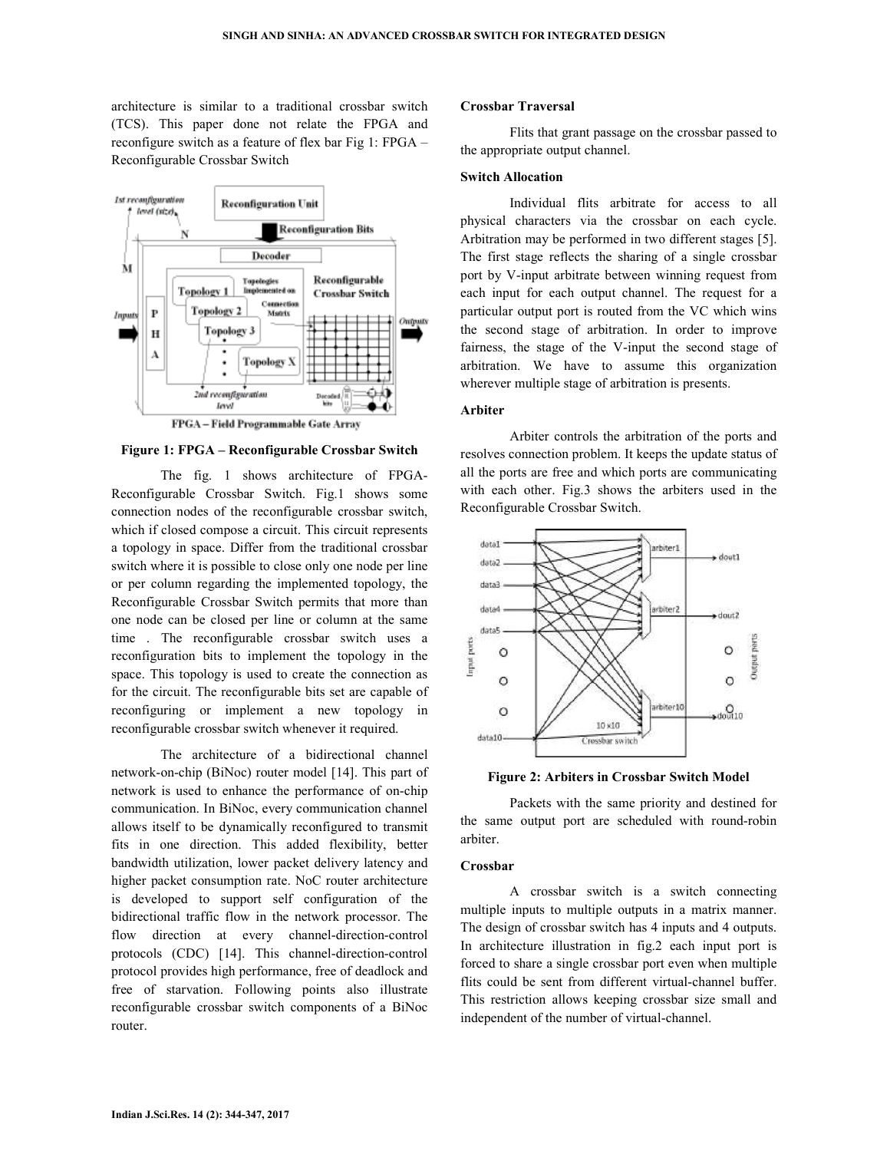architecture is similar to a traditional crossbar switch (TCS). This paper done not relate the FPGA and reconfigure switch as a feature of flex bar Fig 1: FPGA – Reconfigurable Crossbar Switch



FPGA-Field Programmable Gate Array

#### **Figure 1: FPGA – Reconfigurable Crossbar Switch**

 The fig. 1 shows architecture of FPGA-Reconfigurable Crossbar Switch. Fig.1 shows some connection nodes of the reconfigurable crossbar switch, which if closed compose a circuit. This circuit represents a topology in space. Differ from the traditional crossbar switch where it is possible to close only one node per line or per column regarding the implemented topology, the Reconfigurable Crossbar Switch permits that more than one node can be closed per line or column at the same time . The reconfigurable crossbar switch uses a reconfiguration bits to implement the topology in the space. This topology is used to create the connection as for the circuit. The reconfigurable bits set are capable of reconfiguring or implement a new topology in reconfigurable crossbar switch whenever it required.

The architecture of a bidirectional channel network-on-chip (BiNoc) router model [14]. This part of network is used to enhance the performance of on-chip communication. In BiNoc, every communication channel allows itself to be dynamically reconfigured to transmit fits in one direction. This added flexibility, better bandwidth utilization, lower packet delivery latency and higher packet consumption rate. NoC router architecture is developed to support self configuration of the bidirectional traffic flow in the network processor. The flow direction at every channel-direction-control protocols (CDC) [14]. This channel-direction-control protocol provides high performance, free of deadlock and free of starvation. Following points also illustrate reconfigurable crossbar switch components of a BiNoc router.

#### **Crossbar Traversal**

 Flits that grant passage on the crossbar passed to the appropriate output channel.

### **Switch Allocation**

 Individual flits arbitrate for access to all physical characters via the crossbar on each cycle. Arbitration may be performed in two different stages [5]. The first stage reflects the sharing of a single crossbar port by V-input arbitrate between winning request from each input for each output channel. The request for a particular output port is routed from the VC which wins the second stage of arbitration. In order to improve fairness, the stage of the V-input the second stage of arbitration. We have to assume this organization wherever multiple stage of arbitration is presents.

#### **Arbiter**

Arbiter controls the arbitration of the ports and resolves connection problem. It keeps the update status of all the ports are free and which ports are communicating with each other. Fig.3 shows the arbiters used in the Reconfigurable Crossbar Switch.



**Figure 2: Arbiters in Crossbar Switch Model** 

 Packets with the same priority and destined for the same output port are scheduled with round-robin arbiter.

### **Crossbar**

 A crossbar switch is a switch connecting multiple inputs to multiple outputs in a matrix manner. The design of crossbar switch has 4 inputs and 4 outputs. In architecture illustration in fig.2 each input port is forced to share a single crossbar port even when multiple flits could be sent from different virtual-channel buffer. This restriction allows keeping crossbar size small and independent of the number of virtual-channel.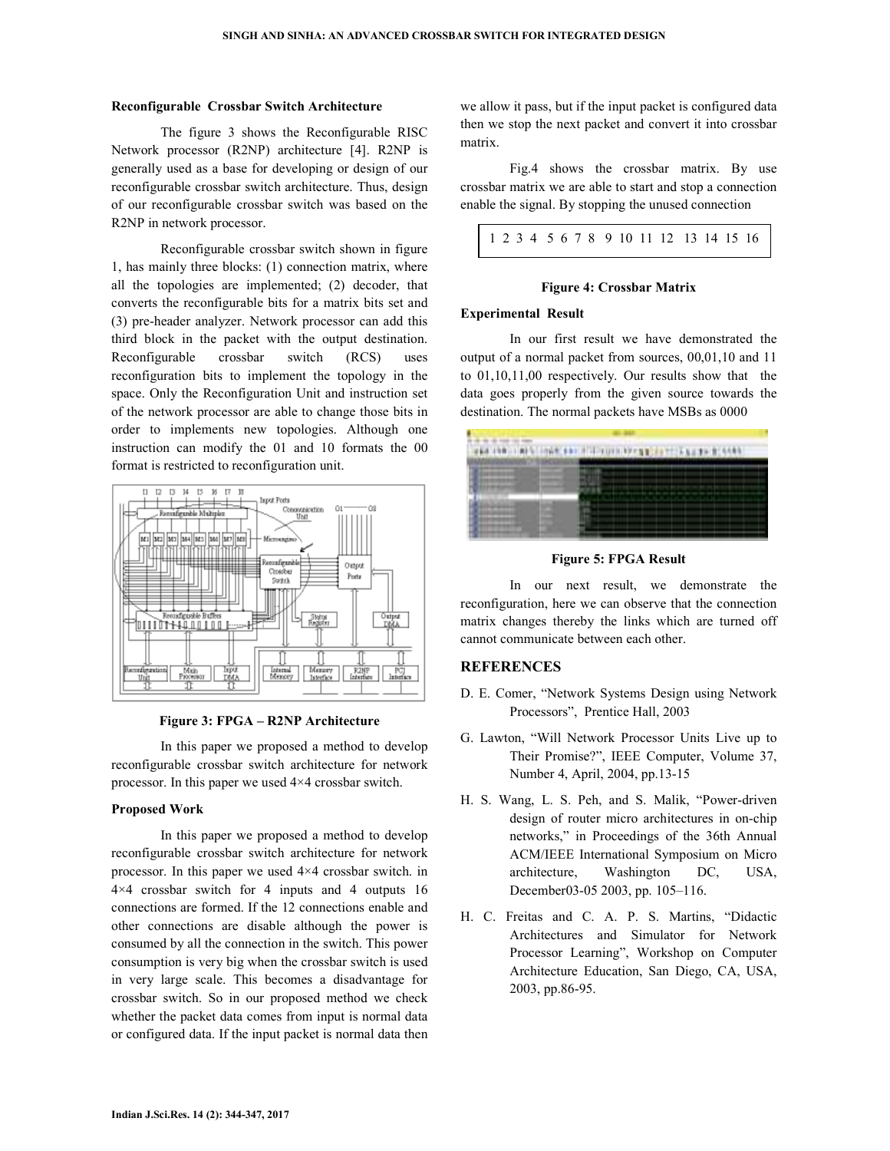#### **Reconfigurable Crossbar Switch Architecture**

 The figure 3 shows the Reconfigurable RISC Network processor (R2NP) architecture [4]. R2NP is generally used as a base for developing or design of our reconfigurable crossbar switch architecture. Thus, design of our reconfigurable crossbar switch was based on the R2NP in network processor.

 Reconfigurable crossbar switch shown in figure 1, has mainly three blocks: (1) connection matrix, where all the topologies are implemented; (2) decoder, that converts the reconfigurable bits for a matrix bits set and (3) pre-header analyzer. Network processor can add this third block in the packet with the output destination. Reconfigurable crossbar switch (RCS) uses reconfiguration bits to implement the topology in the space. Only the Reconfiguration Unit and instruction set of the network processor are able to change those bits in order to implements new topologies. Although one instruction can modify the 01 and 10 formats the 00 format is restricted to reconfiguration unit.



**Figure 3: FPGA – R2NP Architecture** 

 In this paper we proposed a method to develop reconfigurable crossbar switch architecture for network processor. In this paper we used 4×4 crossbar switch.

### **Proposed Work**

 In this paper we proposed a method to develop reconfigurable crossbar switch architecture for network processor. In this paper we used 4×4 crossbar switch. in 4×4 crossbar switch for 4 inputs and 4 outputs 16 connections are formed. If the 12 connections enable and other connections are disable although the power is consumed by all the connection in the switch. This power consumption is very big when the crossbar switch is used in very large scale. This becomes a disadvantage for crossbar switch. So in our proposed method we check whether the packet data comes from input is normal data or configured data. If the input packet is normal data then

we allow it pass, but if the input packet is configured data then we stop the next packet and convert it into crossbar matrix.

 Fig.4 shows the crossbar matrix. By use crossbar matrix we are able to start and stop a connection enable the signal. By stopping the unused connection

### **Figure 4: Crossbar Matrix**

#### **Experimental Result**

 In our first result we have demonstrated the output of a normal packet from sources, 00,01,10 and 11 to 01,10,11,00 respectively. Our results show that the data goes properly from the given source towards the destination. The normal packets have MSBs as 0000



**Figure 5: FPGA Result** 

 In our next result, we demonstrate the reconfiguration, here we can observe that the connection matrix changes thereby the links which are turned off cannot communicate between each other.

### **REFERENCES**

- D. E. Comer, "Network Systems Design using Network Processors", Prentice Hall, 2003
- G. Lawton, "Will Network Processor Units Live up to Their Promise?", IEEE Computer, Volume 37, Number 4, April, 2004, pp.13-15
- H. S. Wang, L. S. Peh, and S. Malik, "Power-driven design of router micro architectures in on-chip networks," in Proceedings of the 36th Annual ACM/IEEE International Symposium on Micro architecture, Washington DC, USA, December03-05 2003, pp. 105–116.
- H. C. Freitas and C. A. P. S. Martins, "Didactic Architectures and Simulator for Network Processor Learning", Workshop on Computer Architecture Education, San Diego, CA, USA, 2003, pp.86-95.